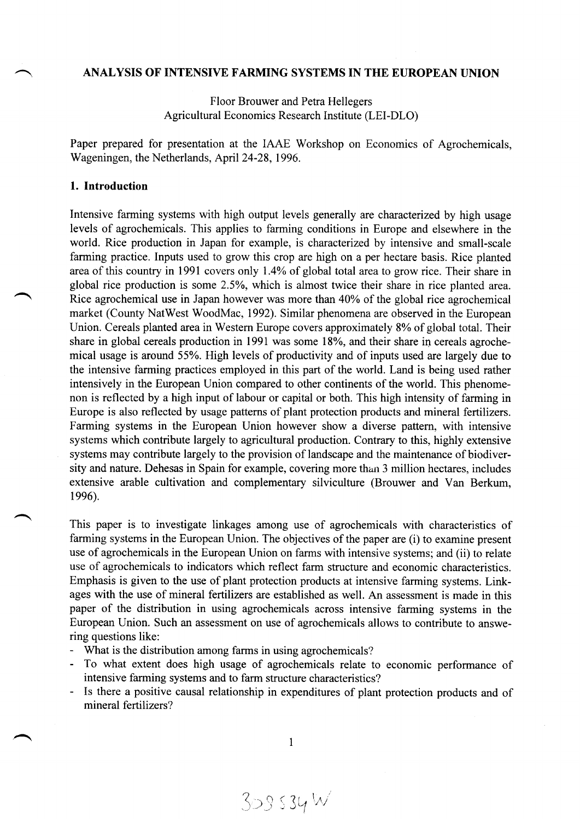# **ANALYSIS OF INTENSIVE FARMING SYSTEMS IN THE EUROPEAN UNION**

Floor Brouwer and Petra Hellegers Agricultural Economics Research Institute (LEI-DLO)

Paper prepared for presentation at the IAAE Workshop on Economics of Agrochemicals, Wageningen, the Netherlands, April 24-28, 1996.

#### **1. Introduction**

Intensive farming systems with high output levels generally are characterized by high usage levels of agrochemicals. This applies to farming conditions in Europe and elsewhere in the world. Rice production in Japan for example, is characterized by intensive and small-scale farming practice. Inputs used to grow this crop are high on a per hectare basis. Rice planted area of this country in 1991 covers only 1.4% of global total area to grow rice. Their share in global rice production is some 2.5%, which is almost twice their share in rice planted area. Rice agrochemical use in Japan however was more than 40% of the global rice agrochemical market (County NatWest WoodMac, 1992). Similar phenomena are observed in the European Union. Cereals planted area in Western Europe covers approximately 8% of global total. Their share in global cereals production in 1991 was some 18%, and their share in cereals agrochemical usage is around 55%. High levels of productivity and of inputs used are largely due to the intensive farming practices employed in this part of the world. Land is being used rather intensively in the European Union compared to other continents of the world. This phenomenon is reflected by a high input of labour or capital or both. This high intensity of farming in Europe is also reflected by usage patterns of plant protection products and mineral fertilizers. Farming systems in the European Union however show a diverse pattern, with intensive systems which contribute largely to agricultural production. Contrary to this, highly extensive systems may contribute largely to the provision of landscape and the maintenance of biodiversity and nature. Dehesas in Spain for example, covering more than 3 million hectares, includes extensive arable cultivation and complementary silviculture (Brouwer and Van Berkum, 1996).

This paper is to investigate linkages among use of agrochemicals with characteristics of farming systems in the European Union. The objectives of the paper are (i) to examine present use of agrochemicals in the European Union on farms with intensive systems; and (ii) to relate use of agrochemicals to indicators which reflect farm structure and economic characteristics. Emphasis is given to the use of plant protection products at intensive farming systems. Linkages with the use of mineral fertilizers are established as well. An assessment is made in this paper of the distribution in using agrochemicals across intensive farming systems in the European Union. Such an assessment on use of agrochemicals allows to contribute to answering questions like:

- What is the distribution among farms in using agrochemicals?
- To what extent does high usage of agrochemicals relate to economic performance of intensive farming systems and to farm structure characteristics?
- Is there a positive causal relationship in expenditures of plant protection products and of mineral fertilizers?

1

 $309534 W$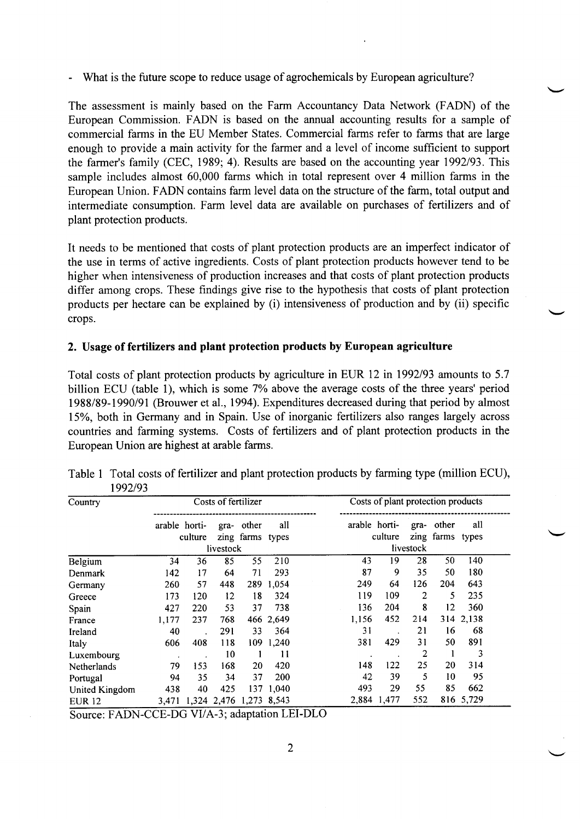What is the future scope to reduce usage of agrochemicals by European agriculture?

The assessment is mainly based on the Farm Accountancy Data Network (FADN) of the European Commission. FADN is based on the annual accounting results for a sample of commercial farms in the EU Member States. Commercial farms refer to farms that are large enough to provide a main activity for the farmer and a level of income sufficient to support the farmer's family (CEC, 1989; 4). Results are based on the accounting year 1992/93. This sample includes almost 60,000 farms which in total represent over 4 million farms in the European Union. FADN contains farm level data on the structure of the farm, total output and intermediate consumption. Farm level data are available on purchases of fertilizers and of plant protection products.

It needs to be mentioned that costs of plant protection products are an imperfect indicator of the use in terms of active ingredients. Costs of plant protection products however tend to be higher when intensiveness of production increases and that costs of plant protection products differ among crops. These findings give rise to the hypothesis that costs of plant protection products per hectare can be explained by (i) intensiveness of production and by (ii) specific crops.

## **2. Usage of fertilizers and plant protection products by European agriculture**

Total costs of plant protection products by agriculture in EUR 12 in 1992/93 amounts to 5.7 billion ECU (table 1), which is some 7% above the average costs of the three years' period 1988/89-1990/91 (Brouwer et al., 1994). Expenditures decreased during that period by almost 15%, both in Germany and in Spain. Use of inorganic fertilizers also ranges largely across countries and farming systems. Costs of fertilizers and of plant protection products in the European Union are highest at arable farms.

| Country        | Costs of fertilizer |         |                         |                  | Costs of plant protection products |               |             |                |                  |           |  |
|----------------|---------------------|---------|-------------------------|------------------|------------------------------------|---------------|-------------|----------------|------------------|-----------|--|
|                | arable horti-       |         | gra-                    | other            | all                                | arable horti- |             | gra-           | other            | all       |  |
|                |                     | culture |                         | zing farms types |                                    |               | culture     |                | zing farms types |           |  |
|                |                     |         | livestock               |                  |                                    |               |             | livestock      |                  |           |  |
| Belgium        | 34                  | 36      | 85                      | 55               | 210                                | 43            | 19          | 28             | 50               | 140       |  |
| Denmark        | 142                 | 17      | 64                      | 71               | 293                                | 87            | 9           | 35             | 50               | 180       |  |
| Germany        | 260                 | 57      | 448                     |                  | 289 1,054                          | 249           | 64          | 126            | 204              | 643       |  |
| Greece         | 173                 | 120     | 12                      | 18               | 324                                | 119           | 109         | $\overline{2}$ | 5                | 235       |  |
| Spain          | 427                 | 220     | 53                      | 37               | 738                                | 136           | 204         | 8              | 12               | 360       |  |
| France         | 1,177               | 237     | 768                     |                  | 466 2,649                          | 1,156         | 452         | 214            |                  | 314 2,138 |  |
| Ireland        | 40                  |         | 291                     | 33               | 364                                | 31            |             | 21             | 16               | 68        |  |
| Italy          | 606                 | 408     | 118                     |                  | 109 1,240                          | 381           | 429         | 31             | 50               | 891       |  |
| Luxembourg     | $\bullet$           |         | 10                      | 1                | 11                                 |               |             | 2              |                  | 3         |  |
| Netherlands    | 79                  | 153     | 168                     | 20               | 420                                | 148           | 122         | 25             | 20               | 314       |  |
| Portugal       | 94                  | 35      | 34                      | 37               | 200                                | 42            | 39          | 5              | 10               | 95        |  |
| United Kingdom | 438                 | 40      | 425                     | 137              | 1,040                              | 493           | 29          | 55             | 85               | 662       |  |
| <b>EUR 12</b>  | 3,471               |         | 1,324 2,476 1,273 8,543 |                  |                                    |               | 2,884 1,477 | 552            |                  | 816 5,729 |  |

Table 1 Total costs of fertilizer and plant protection products by farming type (million ECU), 1992/93

Source: FADN-CCE-DG VI/A-3; adaptation LEI-DLO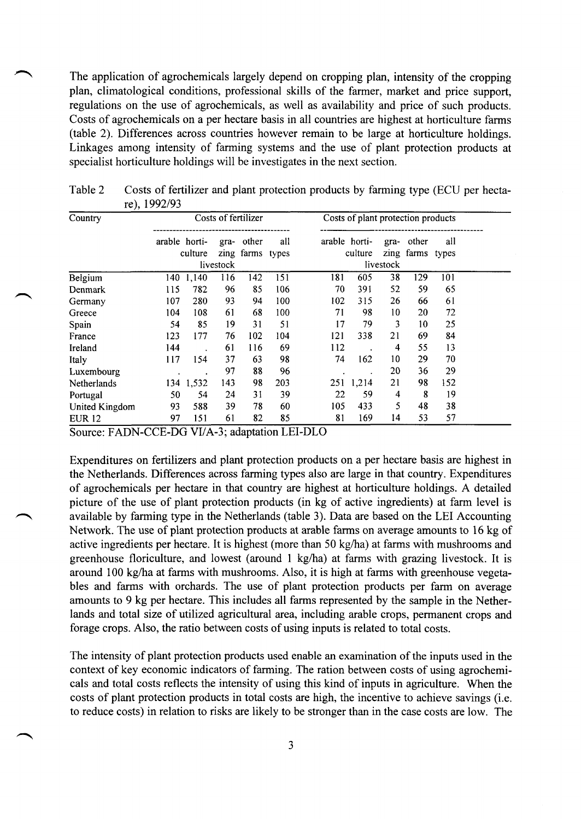The application of agrochemicals largely depend on cropping plan, intensity of the cropping plan, climatological conditions, professional skills of the farmer, market and price support, regulations on the use of agrochemicals, as well as availability and price of such products. Costs of agrochemicals on a per hectare basis in all countries are highest at horticulture farms (table 2). Differences across countries however remain to be large at horticulture holdings. Linkages among intensity of farming systems and the use of plant protection products at specialist horticulture holdings will be investigates in the next section.

| Country        | Costs of fertilizer |           |           |                           |     | Costs of plant protection products |                          |           |                           |     |  |
|----------------|---------------------|-----------|-----------|---------------------------|-----|------------------------------------|--------------------------|-----------|---------------------------|-----|--|
|                | arable horti-       | culture   | gra-      | other<br>zing farms types | all |                                    | arable horti-<br>culture | gra-      | other<br>zing farms types | all |  |
|                |                     |           | livestock |                           |     |                                    |                          | livestock |                           |     |  |
| Belgium        |                     | 140 1,140 | 116       | 142                       | 151 | 181                                | 605                      | 38        | 129                       | 101 |  |
| Denmark        | 115                 | 782       | 96        | 85                        | 106 | 70                                 | 391                      | 52        | 59                        | 65  |  |
| Germany        | 107                 | 280       | 93        | 94                        | 100 | 102                                | 315                      | 26        | 66                        | 61  |  |
| Greece         | 104                 | 108       | 61        | 68                        | 100 | 71                                 | 98                       | 10        | 20                        | 72  |  |
| Spain          | 54                  | 85        | 19        | 31                        | 51  | 17                                 | 79                       | 3         | 10                        | 25  |  |
| France         | 123                 | 177       | 76        | 102                       | 104 | 121                                | 338                      | 21        | 69                        | 84  |  |
| Ireland        | 144                 |           | 61        | 116                       | 69  | 112                                |                          | 4         | 55                        | 13  |  |
| Italy          | 117                 | 154       | 37        | 63                        | 98  | 74                                 | 162                      | 10        | 29                        | 70  |  |
| Luxembourg     |                     |           | 97        | 88                        | 96  |                                    |                          | 20        | 36                        | 29  |  |
| Netherlands    |                     | 134 1,532 | 143       | 98                        | 203 |                                    | 251 1,214                | 21        | 98                        | 152 |  |
| Portugal       | 50                  | 54        | 24        | 31                        | 39  | 22                                 | 59                       | 4         | 8                         | 19  |  |
| United Kingdom | 93                  | 588       | 39        | 78                        | 60  | 105                                | 433                      | 5         | 48                        | 38  |  |
| <b>EUR 12</b>  | 97                  | 151       | 61        | 82                        | 85  | 81                                 | 169                      | 14        | 53                        | 57  |  |

Table 2 Costs of fertilizer and plant protection products by farming type (ECU per hectare), 1992/93

Source: FADN-CCE-DG VI/A-3; adaptation LEI-DLO

Expenditures on fertilizers and plant protection products on a per hectare basis are highest in the Netherlands. Differences across farming types also are large in that country. Expenditures of agrochemicals per hectare in that country are highest at horticulture holdings. A detailed picture of the use of plant protection products (in kg of active ingredients) at farm level is available by farming type in the Netherlands (table 3). Data are based on the LEI Accounting Network. The use of plant protection products at arable farms on average amounts to 16 kg of active ingredients per hectare. It is highest (more than 50 kg/ha) at farms with mushrooms and greenhouse floriculture, and lowest (around 1 kg/ha) at farms with grazing livestock. It is around 100 kg/ha at farms with mushrooms. Also, it is high at farms with greenhouse vegetables and farms with orchards. The use of plant protection products per farm on average amounts to 9 kg per hectare. This includes all farms represented by the sample in the Netherlands and total size of utilized agricultural area, including arable crops, permanent crops and forage crops. Also, the ratio between costs of using inputs is related to total costs.

The intensity of plant protection products used enable an examination of the inputs used in the context of key economic indicators of farming. The ration between costs of using agrochemicals and total costs reflects the intensity of using this kind of inputs in agriculture. When the costs of plant protection products in total costs are high, the incentive to achieve savings (i.e. to reduce costs) in relation to risks are likely to be stronger than in the case costs are low. The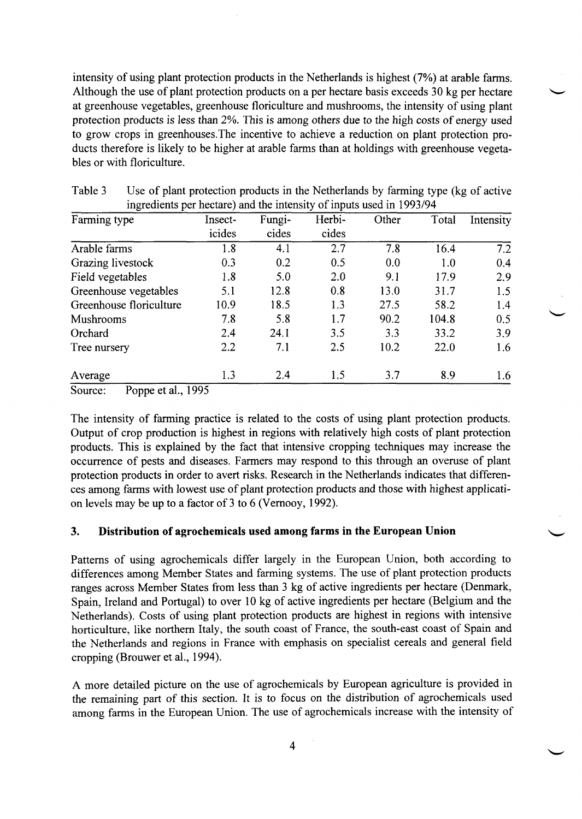intensity of using plant protection products in the Netherlands is highest (7%) at arable farms. Although the use of plant protection products on a per hectare basis exceeds 30 kg per hectare at greenhouse vegetables, greenhouse floriculture and mushrooms, the intensity of using plant protection products is less than 2%. This is among others due to the high costs of energy used to grow crops in greenhouses.The incentive to achieve a reduction on plant protection products therefore is likely to be higher at arable farms than at holdings with greenhouse vegetables or with floriculture.

| Farming type            | Insect- | Fungi- | Herbi- | Other | Total | Intensity |
|-------------------------|---------|--------|--------|-------|-------|-----------|
|                         | icides  | cides  | cides  |       |       |           |
| Arable farms            | 1.8     | 4.1    | 2.7    | 7.8   | 16.4  | 7.2       |
| Grazing livestock       | 0.3     | 0.2    | 0.5    | 0.0   | 1.0   | 0.4       |
| Field vegetables        | 1.8     | 5.0    | 2.0    | 9.1   | 17.9  | 2.9       |
| Greenhouse vegetables   | 5.1     | 12.8   | 0.8    | 13.0  | 31.7  | 1.5       |
| Greenhouse floriculture | 10.9    | 18.5   | 1.3    | 27.5  | 58.2  | 1.4       |
| Mushrooms               | 7.8     | 5.8    | 1.7    | 90.2  | 104.8 | 0.5       |
| Orchard                 | 2.4     | 24.1   | 3.5    | 3.3   | 33.2  | 3.9       |
| Tree nursery            | 2.2     | 7.1    | 2.5    | 10.2  | 22.0  | 1.6       |
| Average                 | 1.3     | 2.4    | 1.5    | 3.7   | 8.9   | 1.6       |

| Table 3 | Use of plant protection products in the Netherlands by farming type (kg of active |
|---------|-----------------------------------------------------------------------------------|
|         | ingredients per hectare) and the intensity of inputs used in 1993/94              |

Source: Poppe et al., 1995

The intensity of farming practice is related to the costs of using plant protection products. Output of crop production is highest in regions with relatively high costs of plant protection products. This is explained by the fact that intensive cropping techniques may increase the occurrence of pests and diseases. Farmers may respond to this through an overuse of plant protection products in order to avert risks. Research in the Netherlands indicates that differences among farms with lowest use of plant protection products and those with highest application levels may be up to a factor of 3 to 6 (Vernooy, 1992).

# **3. Distribution of agrochemicals used among farms in the European Union**

Patterns of using agrochemicals differ largely in the European Union, both according to differences among Member States and farming systems. The use of plant protection products ranges across Member States from less than 3 kg of active ingredients per hectare (Denmark, Spain, Ireland and Portugal) to over 10 kg of active ingredients per hectare (Belgium and the Netherlands). Costs of using plant protection products are highest in regions with intensive horticulture, like northern Italy, the south coast of France, the south-east coast of Spain and the Netherlands and regions in France with emphasis on specialist cereals and general field cropping (Brouwer et al., 1994).

A more detailed picture on the use of agrochemicals by European agriculture is provided in the remaining part of this section. It is to focus on the distribution of agrochemicals used among farms in the European Union. The use of agrochemicals increase with the intensity of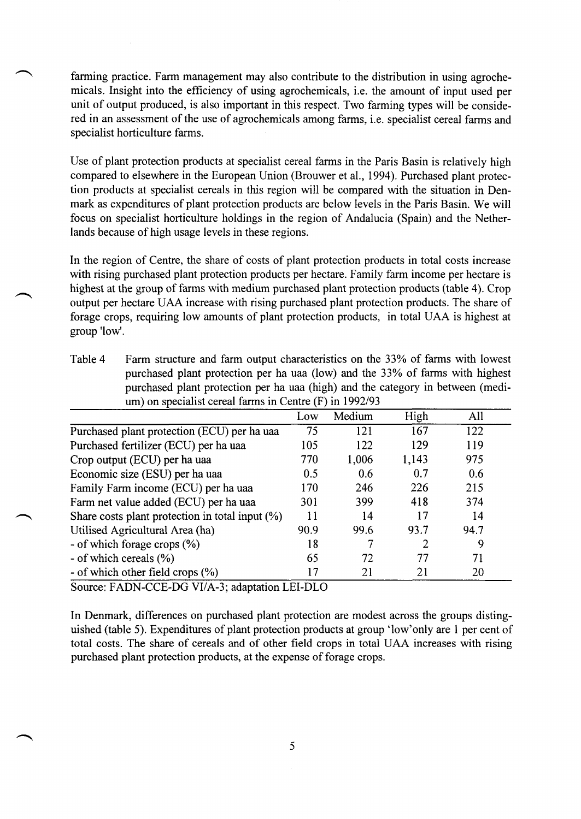farming practice. Farm management may also contribute to the distribution in using agrochemicals. Insight into the efficiency of using agrochemicals, i.e. the amount of input used per unit of output produced, is also important in this respect. Two farming types will be considered in an assessment of the use of agrochemicals among farms, i.e. specialist cereal farms and specialist horticulture farms.

Use of plant protection products at specialist cereal farms in the Paris Basin is relatively high compared to elsewhere in the European Union (Brouwer et al., 1994). Purchased plant protection products at specialist cereals in this region will be compared with the situation in Denmark as expenditures of plant protection products are below levels in the Paris Basin. We will focus on specialist horticulture holdings in the region of Andalucia (Spain) and the Netherlands because of high usage levels in these regions.

In the region of Centre, the share of costs of plant protection products in total costs increase with rising purchased plant protection products per hectare. Family farm income per hectare is highest at the group of farms with medium purchased plant protection products (table 4). Crop output per hectare UAA increase with rising purchased plant protection products. The share of forage crops, requiring low amounts of plant protection products, in total UAA is highest at group 'low'.

| Table 4 | Farm structure and farm output characteristics on the 33% of farms with lowest  |
|---------|---------------------------------------------------------------------------------|
|         | purchased plant protection per ha uaa (low) and the 33% of farms with highest   |
|         | purchased plant protection per ha uaa (high) and the category in between (medi- |
|         | um) on specialist cereal farms in Centre $(F)$ in 1992/93                       |

|                                                    | Low  | Medium | High  | All  |
|----------------------------------------------------|------|--------|-------|------|
| Purchased plant protection (ECU) per ha uaa        | 75   | 121    | 167   | 122  |
| Purchased fertilizer (ECU) per ha uaa              | 105  | 122    | 129   | 119  |
| Crop output (ECU) per ha uaa                       | 770  | 1,006  | 1,143 | 975  |
| Economic size (ESU) per ha uaa                     | 0.5  | 0.6    | 0.7   | 0.6  |
| Family Farm income (ECU) per ha uaa                | 170  | 246    | 226   | 215  |
| Farm net value added (ECU) per ha uaa              | 301  | 399    | 418   | 374  |
| Share costs plant protection in total input $(\%)$ | 11   | 14     | 17    | 14   |
| Utilised Agricultural Area (ha)                    | 90.9 | 99.6   | 93.7  | 94.7 |
| - of which forage crops (%)                        | 18   |        | 2     | 9    |
| - of which cereals (%)                             | 65   | 72     | 77    | 71   |
| - of which other field crops (%)                   |      | 21     | 21    | 20   |

Source: FADN-CCE-DG VI/A-3; adaptation LEI-DLO

In Denmark, differences on purchased plant protection are modest across the groups distinguished (table 5). Expenditures of plant protection products at group 'low'only are 1 per cent of total costs. The share of cereals and of other field crops in total UAA increases with rising purchased plant protection products, at the expense of forage crops.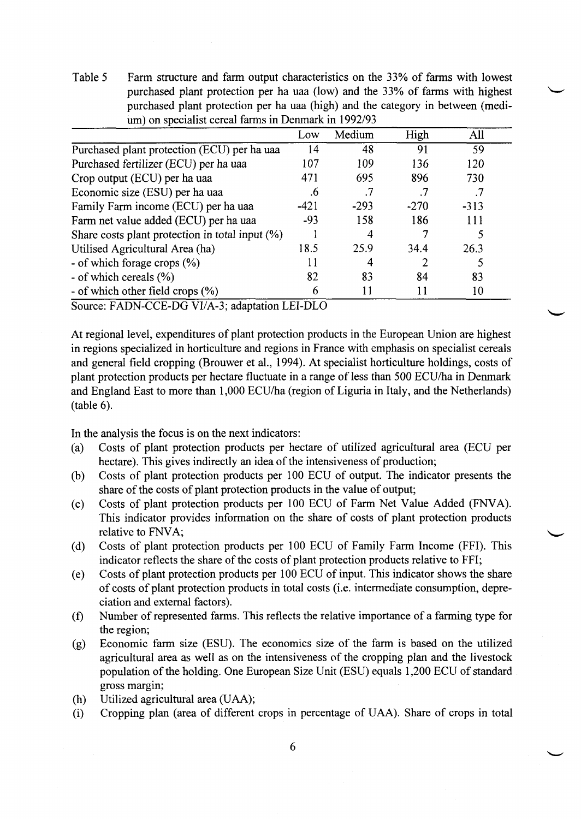Table 5 Farm structure and farm output characteristics on the 33% of farms with lowest purchased plant protection per ha uaa (low) and the 33% of farms with highest purchased plant protection per ha uaa (high) and the category in between (medium) on specialist cereal farms in Denmark in 1992/93

|                                                    | Low    | Medium | High   | All    |  |
|----------------------------------------------------|--------|--------|--------|--------|--|
| Purchased plant protection (ECU) per ha uaa        | 14     | 48     | 91     | 59     |  |
| Purchased fertilizer (ECU) per ha uaa              | 107    | 109    | 136    | 120    |  |
| Crop output (ECU) per ha uaa                       | 471    | 695    | 896    | 730    |  |
| Economic size (ESU) per ha uaa                     | .6     |        |        |        |  |
| Family Farm income (ECU) per ha uaa                | $-421$ | $-293$ | $-270$ | $-313$ |  |
| Farm net value added (ECU) per ha uaa              | $-93$  | 158    | 186    | 111    |  |
| Share costs plant protection in total input $(\%)$ |        | 4      |        |        |  |
| Utilised Agricultural Area (ha)                    | 18.5   | 25.9   | 34.4   | 26.3   |  |
| - of which forage crops $(\%)$                     |        | 4      |        |        |  |
| - of which cereals (%)                             | 82     | 83     | 84     | 83     |  |
| - of which other field crops (%)                   | 6      | 11     | 11     | 10     |  |

Source: FADN-CCE-DG VI/A-3; adaptation LEI-DLO

At regional level, expenditures of plant protection products in the European Union are highest in regions specialized in horticulture and regions in France with emphasis on specialist cereals and general field cropping (Brouwer et al., 1994). At specialist horticulture holdings, costs of plant protection products per hectare fluctuate in a range of less than 500 ECU/ha in Denmark and England East to more than 1,000 ECU/ha (region of Liguria in Italy, and the Netherlands) (table 6).

In the analysis the focus is on the next indicators:

- (a) Costs of plant protection products per hectare of utilized agricultural area (ECU per hectare). This gives indirectly an idea of the intensiveness of production;
- (b) Costs of plant protection products per 100 ECU of output. The indicator presents the share of the costs of plant protection products in the value of output;
- (c) Costs of plant protection products per 100 ECU of Farm Net Value Added (FNVA). This indicator provides information on the share of costs of plant protection products relative to FNVA;
- (d) Costs of plant protection products per 100 ECU of Family Farm Income (FFI). This indicator reflects the share of the costs of plant protection products relative to FFI;
- (e) Costs of plant protection products per 100 ECU of input. This indicator shows the share of costs of plant protection products in total costs (i.e. intermediate consumption, depreciation and external factors).
- (f) Number of represented farms. This reflects the relative importance of a farming type for the region;
- (g) Economic farm size (ESU). The economics size of the farm is based on the utilized agricultural area as well as on the intensiveness of the cropping plan and the livestock population of the holding. One European Size Unit (ESU) equals 1,200 ECU of standard gross margin;
- (h) Utilized agricultural area (UAA);
- (i) Cropping plan (area of different crops in percentage of UAA). Share of crops in total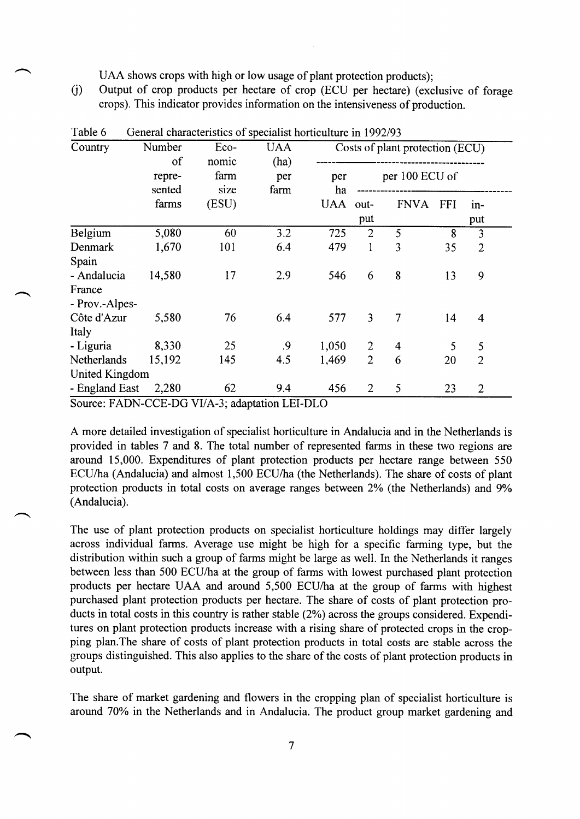UAA shows crops with high or low usage of plant protection products);

(j) Output of crop products per hectare of crop (ECU per hectare) (exclusive of forage crops). This indicator provides information on the intensiveness of production.

| Country        | Number | Eco-  | <b>UAA</b> |            |                | Costs of plant protection (ECU) |            |                |  |
|----------------|--------|-------|------------|------------|----------------|---------------------------------|------------|----------------|--|
|                | of     | nomic | (ha)       |            |                |                                 |            |                |  |
|                | repre- | farm  | per        | per        |                | per 100 ECU of                  |            |                |  |
|                | sented | size  | farm       | ha         |                |                                 |            |                |  |
|                | farms  | (ESU) |            | <b>UAA</b> | out-           | <b>FNVA</b>                     | <b>FFI</b> | $in-$          |  |
|                |        |       |            |            | put            |                                 |            | put            |  |
| Belgium        | 5,080  | 60    | 3.2        | 725        | $\overline{2}$ | 5                               | 8          | 3              |  |
| <b>Denmark</b> | 1,670  | 101   | 6.4        | 479        | 1              | 3                               | 35         | $\overline{2}$ |  |
| Spain          |        |       |            |            |                |                                 |            |                |  |
| - Andalucia    | 14,580 | 17    | 2.9        | 546        | 6              | 8                               | 13         | 9              |  |
| France         |        |       |            |            |                |                                 |            |                |  |
| - Prov.-Alpes- |        |       |            |            |                |                                 |            |                |  |
| Côte d'Azur    | 5,580  | 76    | 6.4        | 577        | $\overline{3}$ | 7                               | 14         | $\overline{4}$ |  |
| Italy          |        |       |            |            |                |                                 |            |                |  |
| - Liguria      | 8,330  | 25    | .9         | 1,050      | 2              | 4                               | 5          | 5              |  |
| Netherlands    | 15,192 | 145   | 4.5        | 1,469      | $\overline{2}$ | 6                               | 20         | $\overline{2}$ |  |
| United Kingdom |        |       |            |            |                |                                 |            |                |  |
| - England East | 2,280  | 62    | 9.4        | 456        | 2              | 5                               | 23         | $\overline{2}$ |  |

| Table 6 |  | General characteristics of specialist horticulture in 1992/93 |  |  |  |  |
|---------|--|---------------------------------------------------------------|--|--|--|--|
|---------|--|---------------------------------------------------------------|--|--|--|--|

Source: FADN-CCE-DG VI/A-3; adaptation LEI-DLO

A more detailed investigation of specialist horticulture in Andalucia and in the Netherlands is provided in tables 7 and 8. The total number of represented farms in these two regions are around 15,000. Expenditures of plant protection products per hectare range between 550 ECU/ha (Andalucia) and almost 1,500 ECU/ha (the Netherlands). The share of costs of plant protection products in total costs on average ranges between 2% (the Netherlands) and 9% (Andalucia).

The use of plant protection products on specialist horticulture holdings may differ largely across individual farms. Average use might be high for a specific farming type, but the distribution within such a group of farms might be large as well. In the Netherlands it ranges between less than 500 ECU/ha at the group of farms with lowest purchased plant protection products per hectare UAA and around 5,500 ECU/ha at the group of farms with highest purchased plant protection products per hectare. The share of costs of plant protection products in total costs in this country is rather stable (2%) across the groups considered. Expenditures on plant protection products increase with a rising share of protected crops in the cropping plan.The share of costs of plant protection products in total costs are stable across the groups distinguished. This also applies to the share of the costs of plant protection products in output.

The share of market gardening and flowers in the cropping plan of specialist horticulture is around 70% in the Netherlands and in Andalucia. The product group market gardening and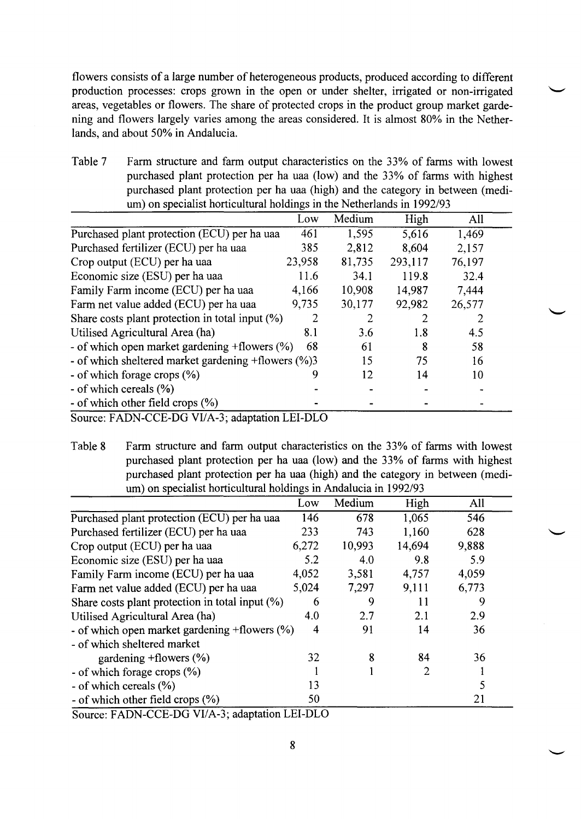flowers consists of a large number of heterogeneous products, produced according to different production processes: crops grown in the open or under shelter, irrigated or non-irrigated areas, vegetables or flowers. The share of protected crops in the product group market gardening and flowers largely varies among the areas considered. It is almost 80% in the Netherlands, and about 50% in Andalucia.

Table 7 Farm structure and farm output characteristics on the 33% of farms with lowest purchased plant protection per ha uaa (low) and the 33% of farms with highest purchased plant protection per ha uaa (high) and the category in between (medium) on specialist horticultural holdings in the Netherlands in 1992/93

|                                                     | Low    | Medium | High    | All    |
|-----------------------------------------------------|--------|--------|---------|--------|
| Purchased plant protection (ECU) per ha uaa         | 461    | 1,595  | 5,616   | 1,469  |
| Purchased fertilizer (ECU) per ha uaa               | 385    | 2,812  | 8,604   | 2,157  |
| Crop output (ECU) per ha uaa                        | 23,958 | 81,735 | 293,117 | 76,197 |
| Economic size (ESU) per ha uaa                      | 11.6   | 34.1   | 119.8   | 32.4   |
| Family Farm income (ECU) per ha uaa                 | 4,166  | 10,908 | 14,987  | 7,444  |
| Farm net value added (ECU) per ha uaa               | 9,735  | 30,177 | 92,982  | 26,577 |
| Share costs plant protection in total input $(\%)$  | 2      | 2      |         |        |
| Utilised Agricultural Area (ha)                     | 8.1    | 3.6    | 1.8     | 4.5    |
| - of which open market gardening $+$ flowers $(\%)$ | 68     | 61     | 8       | 58     |
| - of which sheltered market gardening +flowers (%)3 |        | 15     | 75      | 16     |
| - of which forage crops $(\%)$                      | 9      | 12     | 14      | 10     |
| - of which cereals (%)                              |        |        |         |        |
| - of which other field crops $(\%)$                 |        |        |         |        |
| Source: FADN-CCE-DG VI/A-3; adaptation LEI-DLO      |        |        |         |        |

Table 8 Farm structure and farm output characteristics on the 33% of farms with lowest purchased plant protection per ha uaa (low) and the 33% of farms with highest purchased plant protection per ha uaa (high) and the category in between (medium) on specialist horticultural holdings in Andalucia in 1992/93

|                                                     | Low   | Medium | High   | All   |  |
|-----------------------------------------------------|-------|--------|--------|-------|--|
| Purchased plant protection (ECU) per ha uaa         | 146   | 678    | 1,065  | 546   |  |
| Purchased fertilizer (ECU) per ha uaa               | 233   | 743    | 1,160  | 628   |  |
| Crop output (ECU) per ha uaa                        | 6,272 | 10,993 | 14,694 | 9,888 |  |
| Economic size (ESU) per ha uaa                      | 5.2   | 4.0    | 9.8    | 5.9   |  |
| Family Farm income (ECU) per ha uaa                 | 4,052 | 3,581  | 4,757  | 4,059 |  |
| Farm net value added (ECU) per ha uaa               | 5,024 | 7,297  | 9,111  | 6,773 |  |
| Share costs plant protection in total input (%)     | 6     | 9      | 11     | 9     |  |
| Utilised Agricultural Area (ha)                     | 4.0   | 2.7    | 2.1    | 2.9   |  |
| - of which open market gardening $+$ flowers $(\%)$ | 4     | 91     | 14     | 36    |  |
| - of which sheltered market                         |       |        |        |       |  |
| gardening $+$ flowers $(\%)$                        | 32    | ጸ      | 84     | 36    |  |
| - of which forage crops $(\% )$                     |       |        | 2      |       |  |
| - of which cereals (%)                              | 13    |        |        |       |  |
| - of which other field crops $(\%)$                 | 50    |        |        | 21    |  |

Source: FADN-CCE-DG VI/A-3; adaptation LEI-DLO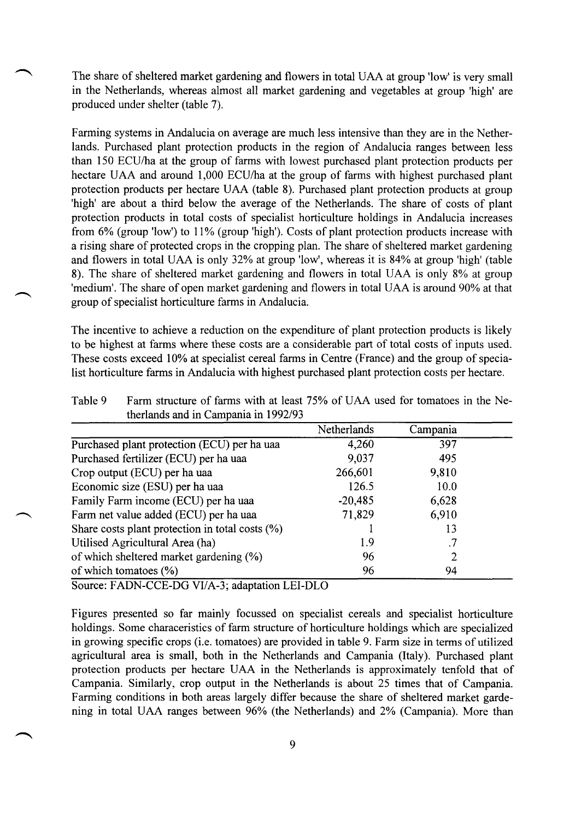The share of sheltered market gardening and flowers in total UAA at group 'low' is very small in the Netherlands, whereas almost all market gardening and vegetables at group 'high' are produced under shelter (table 7).

Farming systems in Andalucia on average are much less intensive than they are in the Netherlands. Purchased plant protection products in the region of Andalucia ranges between less than 150 ECU/ha at the group of farms with lowest purchased plant protection products per hectare UAA and around 1,000 ECU/ha at the group of farms with highest purchased plant protection products per hectare UAA (table 8). Purchased plant protection products at group 'high' are about a third below the average of the Netherlands. The share of costs of plant protection products in total costs of specialist horticulture holdings in Andalucia increases from 6% (group 'low') to 11% (group 'high'). Costs of plant protection products increase with a rising share of protected crops in the cropping plan. The share of sheltered market gardening and flowers in total UAA is only 32% at group 'low', whereas it is 84% at group 'high' (table 8). The share of sheltered market gardening and flowers in total UAA is only 8% at group 'medium'. The share of open market gardening and flowers in total UAA is around 90% at that group of specialist horticulture farms in Andalucia.

The incentive to achieve a reduction on the expenditure of plant protection products is likely to be highest at farms where these costs are a considerable part of total costs of inputs used. These costs exceed 10% at specialist cereal farms in Centre (France) and the group of specialist horticulture farms in Andalucia with highest purchased plant protection costs per hectare.

|                                                    | Netherlands | Campania |  |
|----------------------------------------------------|-------------|----------|--|
| Purchased plant protection (ECU) per ha uaa        | 4,260       | 397      |  |
| Purchased fertilizer (ECU) per ha uaa              | 9,037       | 495      |  |
| Crop output (ECU) per ha uaa                       | 266,601     | 9,810    |  |
| Economic size (ESU) per ha uaa                     | 126.5       | 10.0     |  |
| Family Farm income (ECU) per ha uaa                | $-20,485$   | 6,628    |  |
| Farm net value added (ECU) per ha uaa              | 71,829      | 6.910    |  |
| Share costs plant protection in total costs $(\%)$ |             | 13       |  |
| Utilised Agricultural Area (ha)                    | 1.9         | .7       |  |
| of which sheltered market gardening (%)            | 96          | 2        |  |
| of which tomatoes $(\% )$                          | 96          | 94       |  |

Table 9 Farm structure of farms with at least 75% of UAA used for tomatoes in the Netherlands and in Campania in 1992/93

Source: FADN-CCE-DG VI/A-3; adaptation LEI-DLO

Figures presented so far mainly focussed on specialist cereals and specialist horticulture holdings. Some characeristics of farm structure of horticulture holdings which are specialized in growing specific crops (i.e. tomatoes) are provided in table 9. Farm size in terms of utilized agricultural area is small, both in the Netherlands and Campania (Italy). Purchased plant protection products per hectare UAA in the Netherlands is approximately tenfold that of Campania. Similarly, crop output in the Netherlands is about 25 times that of Campania. Farming conditions in both areas largely differ because the share of sheltered market gardening in total UAA ranges between 96% (the Netherlands) and 2% (Campania). More than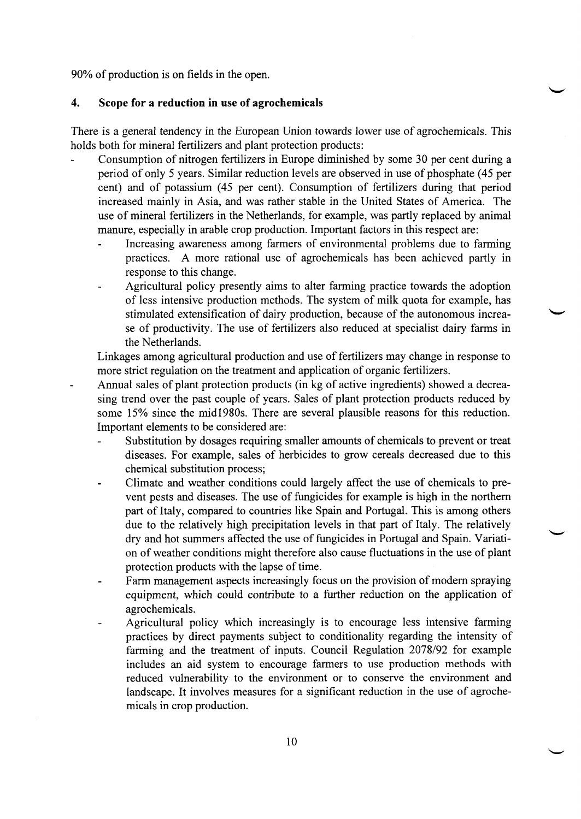90% of production is on fields in the open.

#### **4. Scope for a reduction in use of agrochemicals**

There is a general tendency in the European Union towards lower use of agrochemicals. This holds both for mineral fertilizers and plant protection products:

- Consumption of nitrogen fertilizers in Europe diminished by some 30 per cent during a period of only 5 years. Similar reduction levels are observed in use of phosphate (45 per cent) and of potassium (45 per cent). Consumption of fertilizers during that period increased mainly in Asia, and was rather stable in the United States of America. The use of mineral fertilizers in the Netherlands, for example, was partly replaced by animal manure, especially in arable crop production. Important factors in this respect are:
	- Increasing awareness among farmers of environmental problems due to farming practices. A more rational use of agrochemicals has been achieved partly in response to this change.
	- Agricultural policy presently aims to alter farming practice towards the adoption of less intensive production methods. The system of milk quota for example, has stimulated extensification of dairy production, because of the autonomous increase of productivity. The use of fertilizers also reduced at specialist dairy farms in the Netherlands.

Linkages among agricultural production and use of fertilizers may change in response to more strict regulation on the treatment and application of organic fertilizers.

- Annual sales of plant protection products (in kg of active ingredients) showed a decreasing trend over the past couple of years. Sales of plant protection products reduced by some 15% since the mid 1980s. There are several plausible reasons for this reduction. Important elements to be considered are:
	- Substitution by dosages requiring smaller amounts of chemicals to prevent or treat diseases. For example, sales of herbicides to grow cereals decreased due to this chemical substitution process;
	- Climate and weather conditions could largely affect the use of chemicals to prevent pests and diseases. The use of fungicides for example is high in the northern part of Italy, compared to countries like Spain and Portugal. This is among others due to the relatively high precipitation levels in that part of Italy. The relatively dry and hot summers affected the use of fungicides in Portugal and Spain. Variation of weather conditions might therefore also cause fluctuations in the use of plant protection products with the lapse of time.
	- Farm management aspects increasingly focus on the provision of modern spraying equipment, which could contribute to a further reduction on the application of agrochemicals.
	- Agricultural policy which increasingly is to encourage less intensive farming practices by direct payments subject to conditionality regarding the intensity of farming and the treatment of inputs. Council Regulation 2078/92 for example includes an aid system to encourage farmers to use production methods with reduced vulnerability to the environment or to conserve the environment and landscape. It involves measures for a significant reduction in the use of agrochemicals in crop production.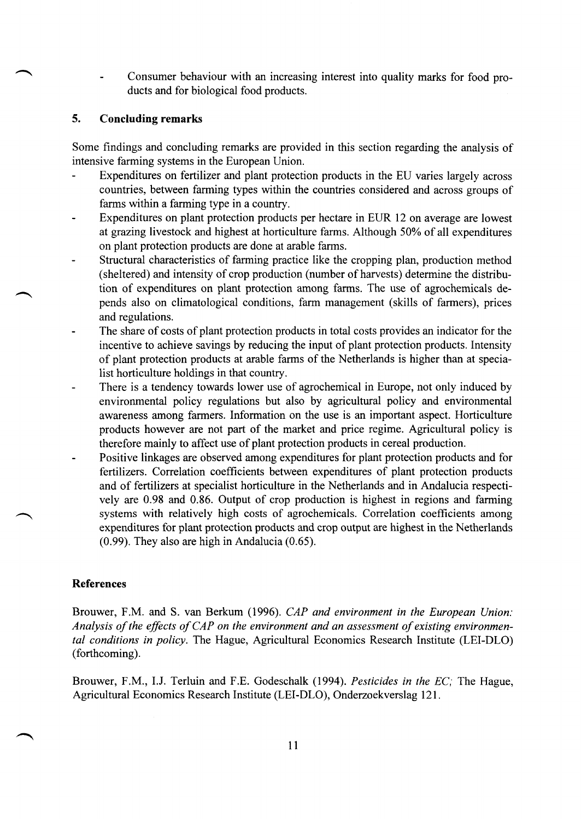Consumer behaviour with an increasing interest into quality marks for food products and for biological food products.

# **5. Concluding remarks**

Some findings and concluding remarks are provided in this section regarding the analysis of intensive farming systems in the European Union.

- Expenditures on fertilizer and plant protection products in the EU varies largely across countries, between farming types within the countries considered and across groups of farms within a farming type in a country.
- Expenditures on plant protection products per hectare in EUR 12 on average are lowest at grazing livestock and highest at horticulture farms. Although 50% of all expenditures on plant protection products are done at arable farms.
- Structural characteristics of farming practice like the cropping plan, production method  $\overline{a}$ (sheltered) and intensity of crop production (number of harvests) determine the distribution of expenditures on plant protection among farms. The use of agrochemicals depends also on climatological conditions, farm management (skills of farmers), prices and regulations.
- The share of costs of plant protection products in total costs provides an indicator for the incentive to achieve savings by reducing the input of plant protection products. Intensity of plant protection products at arable farms of the Netherlands is higher than at specialist horticulture holdings in that country.
- There is a tendency towards lower use of agrochemical in Europe, not only induced by environmental policy regulations but also by agricultural policy and environmental awareness among farmers. Information on the use is an important aspect. Horticulture products however are not part of the market and price regime. Agricultural policy is therefore mainly to affect use of plant protection products in cereal production.
- Positive linkages are observed among expenditures for plant protection products and for  $\overline{a}$ fertilizers. Correlation coefficients between expenditures of plant protection products and of fertilizers at specialist horticulture in the Netherlands and in Andalucia respectively are 0.98 and 0.86. Output of crop production is highest in regions and farming systems with relatively high costs of agrochemicals. Correlation coefficients among expenditures for plant protection products and crop output are highest in the Netherlands (0.99). They also are high in Andalucia (0.65).

# **References**

Brouwer, F.M. and S. van Berkum (1996). *CAP and environment in the European Union: Analysis of the effects of CAP on the environment and an assessment of existing environmental conditions in policy.* The Hague, Agricultural Economics Research Institute (LEI-DLO) (forthcoming).

Brouwer, F.M., I.J. Terluin and F.E. Godeschalk (1994). *Pesticides in the EC;* The Hague, Agricultural Economics Research Institute (LEI-DLO), Onderzoekverslag 121.